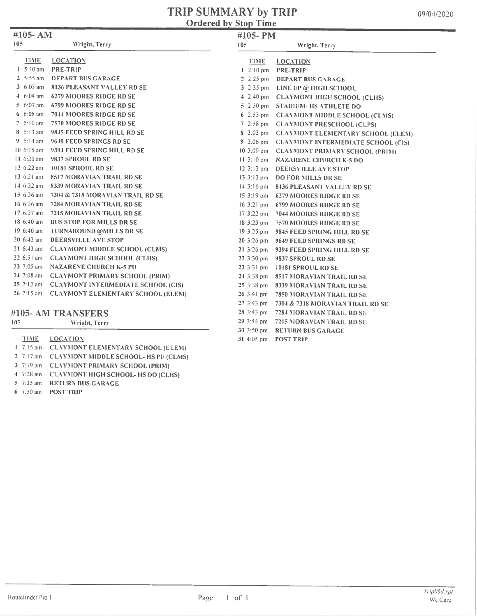#### TRIP SUMMARY by TRIP Ordered by Stop Time

| 09/04/2020 |  |
|------------|--|
|------------|--|

| #105-AM              |                                               | #105- PM                  |                                              |
|----------------------|-----------------------------------------------|---------------------------|----------------------------------------------|
| 105                  | Wright, Terry                                 | 105                       | Wright, Terry                                |
| <b>TIME</b>          | <b>LOCATION</b>                               | <b>TIME</b>               | <b>LOCATION</b>                              |
| $I = 5:40$ am        | <b>PRE-TRIP</b>                               | $1 \cdot 2:10 \text{ pm}$ | <b>PRE-TRIP</b>                              |
| $2.5:55$ am          | <b>DEPART BUS GARAGE</b>                      |                           | 2 2:25 pm DEPART BUS GARAGE                  |
| 3 $6:03$ am          | 8136 PLEASANT VALLEY RD SE                    |                           | 3 2:35 pm LINE UP @ HIGH SCHOOL              |
| $4.6:04$ am          | 6279 MOORES RIDGE RD SE                       |                           | 4 2:40 pm CLAYMONT HIGH SCHOOL (CLHS)        |
| $5.6:07$ am          | <b>6799 MOORES RIDGE RD SE</b>                |                           | 5 2:50 pm STADIUM-HS ATHLETE DO              |
| $6.6:08$ am          | 7044 MOORES RIDGE RD SE                       |                           | 6 2:53 pm CLAYMONT MIDDLE SCHOOL (CLMS)      |
| 7 6:10 am            | 7570 MOORES RIDGE RD SE                       |                           | 7 2:58 pm CLAYMONT PRESCHOOL (CLPS)          |
| 8 6:13 am            | 9845 FEED SPRING HILL RD SE                   |                           | 8 3:03 pm CLAYMONT ELEMENTARY SCHOOL (ELEM)  |
| 9 $6:14 \text{ am}$  | 9649 FEED SPRINGS RD SE                       |                           | 9 3:06 pm CLAYMONT INTERMEDIATE SCHOOL (CIS) |
| $10.6:15$ am         | 9394 FEED SPRING HILL RD SE                   |                           | 10 3:09 pm CLAYMONT PRIMARY SCHOOL (PRIM)    |
| $11.6:20$ am         | 9837 SPROUL RD SE                             |                           | 11 3:10 pm NAZARENE CHURCH K-5 DO            |
| $12.6:22$ am         | <b>10181 SPROUL RD SE</b>                     |                           | 12 3:12 pm DEERSVILLE AVE STOP               |
| 13 6:31 am           | <b>8517 MORAVIAN TRAIL RD SE</b>              |                           | 13 3:13 pm DO FOR MILLS DR SE                |
| $14.6:32 \text{ am}$ | <b>8339 MORAVIAN TRAIL RD SE</b>              |                           | 14 3:16 pm 8136 PLEASANT VALLEY RD SE        |
| 15 6:36 am           | 7304 & 7318 MORAVIAN TRAIL RD SE              |                           | 15 3:19 pm 6279 MOORES RIDGE RD SE           |
| 16 6:36 am           | 7284 MORAVIAN TRAIL RD SE                     | 16 3:21 pm                | <b>6799 MOORES RIDGE RD SE</b>               |
| 17 6:37 am           | 7215 MORAVIAN TRAIL RD SE                     | $17.3:22 \text{ pm}$      | 7044 MOORES RIDGE RD SE                      |
| 18 6:40 am           | <b>BUS STOP FOR MILLS DR SE</b>               |                           | 18 3:23 pm 7570 MOORES RIDGE RD SE           |
| 19 6:40 am           | TURNAROUND @MILLS DR SE                       | $19.3:25 \text{ pm}$      | 9845 FEED SPRING HILL RD SE                  |
| $206:42$ am          | DEERSVILLE AVE STOP                           | $20.3:26 \text{ pm}$      | 9649 FEED SPRINGS RD SE                      |
| $216:43$ am          | <b>CLAYMONT MIDDLE SCHOOL (CLMS)</b>          | $21 \frac{3:26}{1}$ pm    | 9394 FEED SPRING HILL RD SE                  |
| 22 6:51 am           | <b>CLAYMONT HIGH SCHOOL (CLHS)</b>            | $223:30 \text{ pm}$       | 9837 SPROUL RD SE                            |
| $237:05$ am          | <b>NAZARENE CHURCH K-5 PU</b>                 | 23 3:31 pm                | 10181 SPROUL RD SE                           |
|                      | 24 7:08 am CLAYMONT PRIMARY SCHOOL (PRIM)     | 24 3:38 pm                | <b>8517 MORAVIAN TRAIL RD SE</b>             |
|                      | 25 7:12 am CLAYMONT INTERMEDIATE SCHOOL (CIS) | 25 3:38 pm                | <b>8339 MORAVIAN TRAIL RD SE</b>             |
|                      | 26 7:15 am CLAYMONT ELEMENTARY SCHOOL (ELEM)  | $26.3:41 \text{ pm}$      | <b>7850 MORAVIAN TRAIL RD SE</b>             |
|                      |                                               | $273:43 \text{ pm}$       | 7304 & 7318 MORAVIAN TRAIL RD SE             |
|                      | #105- AM TRANSFERS                            |                           | 28 3:43 pm 7284 MORAVIAN TRAIL RD SE         |
| 105                  | Wright, Terry                                 | $29.3:44 \text{ pm}$      | 7215 MORAVIAN TRAIL RD SE                    |
|                      |                                               |                           |                                              |

30 3:50 pm RETURN BUS GARAGE

31 4:05 pm POST TRIP

|  | TIME LOCATION                                  |
|--|------------------------------------------------|
|  | 1 7:15 am CLAYMONT ELEMENTARY SCHOOL (ELEM)    |
|  | 2 7:17 am CLAYMONT MIDDLE SCHOOL- HS PU (CLMS) |
|  | 3 7:19 am CLAYMONT PRIMARY SCHOOL (PRIM)       |
|  | 4 7:28 am CLAYMONT HIGH SCHOOL-HS DO (CLHS)    |
|  | 5 7:35 am RETURN BUS GARAGE                    |
|  |                                                |

6 7:50 am - POST TRIP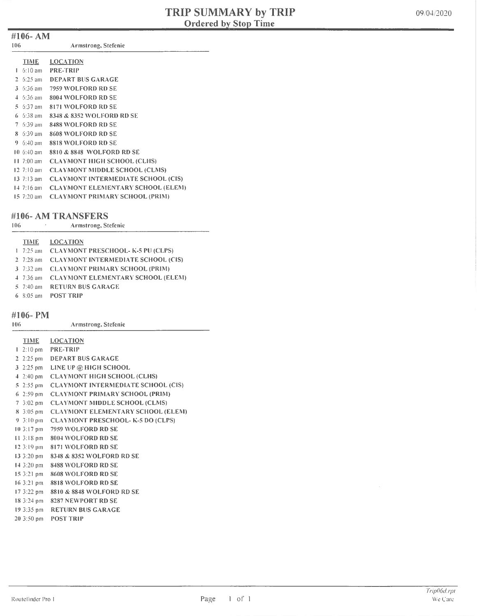#### #106- AM

| 106 | Armstrong, Stefenie |  |
|-----|---------------------|--|
|     |                     |  |

| <b>TIME</b>               | <b>LOCATION</b>                           |
|---------------------------|-------------------------------------------|
| $1-6:10$ am               | <b>PRE-TRIP</b>                           |
| 2 $6:25$ am               | <b>DEPART BUS GARAGE</b>                  |
|                           |                                           |
| 3 $6:36$ am               | 7959 WOLFORD RD SE                        |
| $4.6:36 \text{ am}$       | 8004 WOLFORD RD SE                        |
| $5.6:37$ am               | 8171 WOLFORD RD SE                        |
| $6.6:38$ am               | 8348 & 8352 WOLFORD RD SE                 |
| $7.6:39 \text{ am}$       | 8488 WOLFORD RD SE                        |
| $8 \cdot 6:39$ am         | 8608 WOLFORD RD SE                        |
| 9 $6:40$ am               | 8818 WOLFORD RD SE                        |
| $10.6:40$ am              | 8810 & 8848 WOLFORD RD SE                 |
| $11 \t 7:00 \t am$        | <b>CLAYMONT HIGH SCHOOL (CLHS)</b>        |
| $12 \t 7:10 \t 3m$        | <b>CLAYMONT MIDDLE SCHOOL (CLMS)</b>      |
| $13 \t7:13$ am            | <b>CLAYMONT INTERMEDIATE SCHOOL (CIS)</b> |
| $14 \, 7:16 \, \text{am}$ | <b>CLAYMONT ELEMENTARY SCHOOL (ELEM)</b>  |
| $15 \t20 \t{am}$          | <b>CLAYMONT PRIMARY SCHOOL (PRIM)</b>     |

#### #106- AM TRANSFERS

106 Armstrong, Stefenie

#### TIME LOCATION

|  | 1 7:25 am CLAYMONT PRESCHOOL- K-5 PU (CLPS)  |
|--|----------------------------------------------|
|  | 2 7:28 am CLAYMONT INTERMEDIATE SCHOOL (CIS) |
|  | 3 7:32 am CLAYMONT PRIMARY SCHOOL (PRIM)     |
|  | 4 7:36 am CLAYMONT ELEMENTARY SCHOOL (ELEM)  |
|  | 5 7:40 am RETURN BUS GARAGE                  |
|  | 6 8:05 am POST TRIP                          |

#106- PM

| $\pi$ ivv $\tau$ ivi |                     |
|----------------------|---------------------|
| -106                 | Armstrong, Stefenie |

| <b>TIME</b>            | <b>LOCATION</b>                             |
|------------------------|---------------------------------------------|
|                        | $1 \cdot 2:10 \text{ pm}$ PRE-TRIP          |
|                        | 2 2:25 pm DEPART BUS GARAGE                 |
|                        | 3 2:25 pm LINE UP @ HIGH SCHOOL             |
|                        | 4 2:40 pm CLAYMONT HIGH SCHOOL (CLHS)       |
| $5\,2:55\,\mathrm{pm}$ | <b>CLAYMONT INTERMEDIATE SCHOOL (CIS)</b>   |
| $6\;2:59\;pm$          | <b>CLAYMONT PRIMARY SCHOOL (PRIM)</b>       |
|                        | 7 3:02 pm CLAYMONT MIDDLE SCHOOL (CLMS)     |
|                        | 8 3:05 pm CLAYMONT ELEMENTARY SCHOOL (ELEM) |
|                        | 9 3:10 pm CLAYMONT PRESCHOOL- K-5 DO (CLPS) |
|                        | 10 3:17 pm 7959 WOLFORD RD SE               |
|                        | 11 3:18 pm 8004 WOLFORD RD SE               |
|                        | 12 3:19 pm 8171 WOLFORD RD SE               |
|                        | 13 3:20 pm 8348 & 8352 WOLFORD RD SE        |
| 14 3:20 pm             | 8488 WOLFORD RD SE                          |
| 15.3:21 pm             | 8608 WOLFORD RD SE                          |
| $16.3:21 \text{ pm}$   | 8818 WOLFORD RD SE                          |
| $17.3:22 \text{ pm}$   | 8810 & 8848 WOLFORD RD SE                   |
| $18.3:24 \text{ pm}$   | 8287 NEWPORT RD SE                          |
|                        | 19 3:35 pm RETURN BUS GARAGE                |
| $20, 3:50 \text{ pm}$  | <b>POST TRIP</b>                            |
|                        |                                             |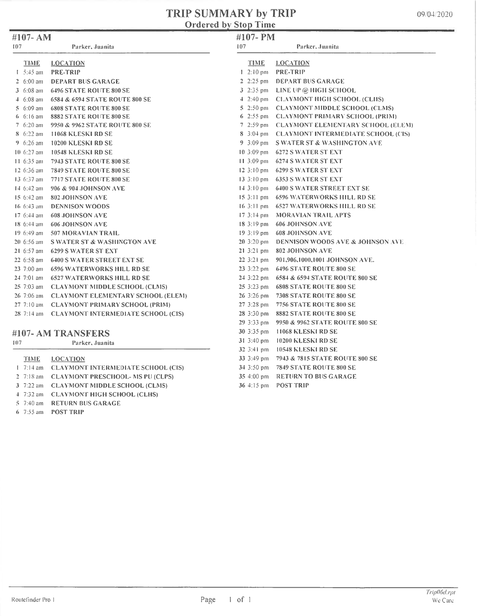## **TRIP SUMMARY by TRIP**<br>Ordered by Stop Time

|  |  | 09/04/2020 |
|--|--|------------|
|--|--|------------|

| #107-AM              |                                           |                          | #107-PM                                      |  |  |
|----------------------|-------------------------------------------|--------------------------|----------------------------------------------|--|--|
| 107                  | Parker, Juanita                           | 107                      | Parker, Juanita                              |  |  |
| TIME                 | <b>LOCATION</b>                           | <b>TIME</b>              | <b>LOCATION</b>                              |  |  |
| $1 - 5:45$ am        | <b>PRE-TRIP</b>                           | $1 \, 2:10 \, \text{pm}$ | <b>PRE-TRIP</b>                              |  |  |
| 2 $6:00$ am          | <b>DEPART BUS GARAGE</b>                  |                          | 2 2:25 pm DEPART BUS GARAGE                  |  |  |
| 3 6:08 am            | <b>6496 STATE ROUTE 800 SE</b>            |                          | 3 2:35 pm LINE UP @ HIGH SCHOOL              |  |  |
| $4.6:08$ am          | 6584 & 6594 STATE ROUTE 800 SE            |                          | 4 2:40 pm CLAYMONT HIGH SCHOOL (CLHS)        |  |  |
| $5.6:09$ am          | <b>6808 STATE ROUTE 800 SE</b>            |                          | 5 2:50 pm CLAYMONT MIDDLE SCHOOL (CLMS)      |  |  |
| $6.6:16$ am          | 8882 STATE ROUTE 800 SE                   |                          | 6 2:55 pm CLAYMONT PRIMARY SCHOOL (PRIM)     |  |  |
| 7 $6:20$ am          | 9950 & 9962 STATE ROUTE 800 SE            |                          | 7 2:59 pm CLAYMONT ELEMENTARY SCHOOL (ELEM)  |  |  |
| $8.6:22$ am          | <b>11068 KLESKI RD SE</b>                 |                          | 8 3:04 pm CLAYMONT INTERMEDIATE SCHOOL (CIS) |  |  |
| 9 $6:26$ am          | 10200 KLESKI RD SE                        |                          | 9 3:09 pm S WATER ST & WASHINGTON AVE        |  |  |
| $10.6:27$ am         | 10548 KLESKI RD SE                        | $10.3:09 \text{ pm}$     | <b>6272 S WATER ST EXT</b>                   |  |  |
| $11.6:35$ am         | 7943 STATE ROUTE 800 SE                   | $11.3:09 \text{ pm}$     | <b>6274 S WATER ST EXT</b>                   |  |  |
| 12 6:36 am           | <b>7849 STATE ROUTE 800 SE</b>            | $12.3:10 \text{ pm}$     | <b>6299 S WATER ST EXT</b>                   |  |  |
| $13.6:37$ am         | <b>7717 STATE ROUTE 800 SE</b>            | $13.3:10 \text{ pm}$     | <b>6353 S WATER ST EXT</b>                   |  |  |
| 14 6:42 am           | 906 & 904 JOHNSON AVE                     | $14.3:10 \text{ pm}$     | <b>6400 S WATER STREET EXT SE</b>            |  |  |
| 15 6:42 am           | <b>802 JOHNSON AVE</b>                    |                          | 15.3:11 pm 6596 WATERWORKS HILL RD SE        |  |  |
| $16.6:43$ am         | <b>DENNISON WOODS</b>                     |                          | 16 3:11 pm 6527 WATERWORKS HILL RD SE        |  |  |
| $17.6:44$ am         | <b>608 JOHNSON AVE</b>                    |                          | 17 3:14 pm MORAVIAN TRAIL APTS               |  |  |
| 18 6:44 am           | <b>606 JOHNSON AVE</b>                    |                          | 18 3:19 pm 606 JOHNSON AVE                   |  |  |
| $19.6:49$ am         | <b>507 MORAVIAN TRAIL</b>                 | $19.3:19 \text{ pm}$     | <b>608 JOHNSON AVE</b>                       |  |  |
| $20\,6:56\,$ am      | <b>S WATER ST &amp; WASHINGTON AVE</b>    | $203:20 \text{ pm}$      | <b>DENNISON WOODS AVE &amp; JOHNSON AVE</b>  |  |  |
| 21 $6:57$ am         | <b>6299 S WATER ST EXT</b>                | $21.3:21 \text{ pm}$     | 802 JOHNSON AVE                              |  |  |
| $226:58$ am          | <b>6400 S WATER STREET EXT SE</b>         | $223:21 \text{ pm}$      | 901,906,1000,1001 JOHNSON AVE.               |  |  |
| 23 7:00 am           | <b>6596 WATERWORKS HILL RD SE</b>         | $23.3:22 \text{ pm}$     | <b>6496 STATE ROUTE 800 SE</b>               |  |  |
| $24$ 7:01 am         | <b>6527 WATERWORKS HILL RD SE</b>         | 24 3:22 pm               | 6584 & 6594 STATE ROUTE 800 SE               |  |  |
| $25 \t 7:03$ am      | <b>CLAYMONT MIDDLE SCHOOL (CLMS)</b>      | $253:23 \text{ pm}$      | <b>6808 STATE ROUTE 800 SE</b>               |  |  |
| $26\,7:06$ am        | <b>CLAYMONT ELEMENTARY SCHOOL (ELEM)</b>  | 26 3:26 pm               | <b>7308 STATE ROUTE 800 SE</b>               |  |  |
| $27.7:10 \text{ am}$ | <b>CLAYMONT PRIMARY SCHOOL (PRIM)</b>     | 27 3:28 pm               | 7756 STATE ROUTE 800 SE                      |  |  |
| $28 \t7:14 \t am$    | <b>CLAYMONT INTERMEDIATE SCHOOL (CIS)</b> | 28 3:30 pm               | 8882 STATE ROUTE 800 SE                      |  |  |
|                      |                                           | 29 3:33 pm               | 9950 & 9962 STATE ROUTE 800 SE               |  |  |
|                      | #107- AM TRANSFERS                        | 30 3:35 pm               | 11068 KLESKI RD SE                           |  |  |
| 107                  | Parker, Juanita                           | 31 3:40 pm               | 10200 KLESKI RD SE                           |  |  |
|                      |                                           | 32 3:41 pm               | 10548 KLESKI RD SE                           |  |  |
| <b>TIME</b>          | <b>LOCATION</b>                           |                          | 33 3:49 pm 7943 & 7815 STATE ROUTE 800 SE    |  |  |
| $1 \t7:14 \t{am}$    | <b>CLAYMONT INTERMEDIATE SCHOOL (CIS)</b> | 34 3:50 pm               | 7849 STATE ROUTE 800 SE                      |  |  |

35 4:00 pm RETURN TO BUS GARAGE

36 4:15 pm POST TRIP

- 2 7:18 am CLAYMONT PRESCHOOL- MS PU (CLPS)
- 3 7:22 am CLAYMONT MIDDLE SCHOOL (CLMS)
- 4 7:32 am CLAYMONT HIGH SCHOOL (CLHS)
- 5 7:40 am RETURN BUS GARAGE
- 6 7:55 am POST TRIP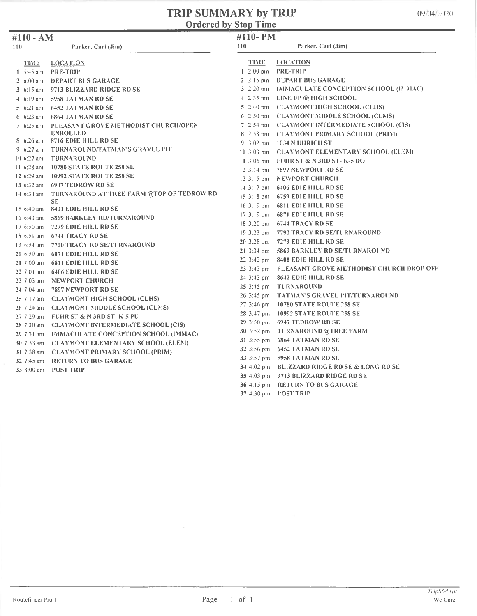#### TRIP SUMMARY by TRIP Ordered by Stop Time

| #110 - AM            |                                                 | #110-PM                   |                                                     |
|----------------------|-------------------------------------------------|---------------------------|-----------------------------------------------------|
| 110                  | Parker, Carl (Jim)                              | 110                       | Parker, Carl (Jim)                                  |
| TIME                 | <b>LOCATION</b>                                 | TIME                      | <b>LOCATION</b>                                     |
| $1 - 5:45$ am        | <b>PRE-TRIP</b>                                 | $1 \cdot 2:00 \text{ pm}$ | <b>PRE-TRIP</b>                                     |
| 2 $6:00$ am          | <b>DEPART BUS GARAGE</b>                        | $2.2:15 \text{ pm}$       | DEPART BUS GARAGE                                   |
|                      | 3 6:15 am 9713 BLIZZARD RIDGE RD SE             | 3 $2:20 \text{ pm}$       | <b>IMMACULATE CONCEPTION SCHOOL (IMMAC)</b>         |
|                      | 4 6:19 am 5958 TATMAN RD SE                     |                           | $4-2:35$ pm LINE UP @ HIGH SCHOOL                   |
|                      | 5 6:21 am 6452 TATMAN RD SE                     |                           | 5 2:40 pm CLAYMONT HIGH SCHOOL (CLHS)               |
| $6.6:23$ am          | <b>6864 TATMAN RD SE</b>                        | 6 $2:50 \text{ pm}$       | <b>CLAYMONT MIDDLE SCHOOL (CLMS)</b>                |
| $7.6:25$ am          | PLEASANT GROVE METHODIST CHURCH/OPEN            | $7.2:54 \text{ pm}$       | <b>CLAYMONT INTERMEDIATE SCHOOL (CIS)</b>           |
|                      | <b>ENROLLED</b>                                 | $8 \cdot 2:58 \text{ pm}$ | <b>CLAYMONT PRIMARY SCHOOL (PRIM)</b>               |
| $8 \t 6:26$ am       | 8716 EDIE HILL RD SE                            | $9.3:02 \text{ pm}$       | - 1034 N UHRICH ST                                  |
| 9 $6:27$ am          | TURNAROUND/TATMAN'S GRAVEL PIT                  | $10.3:03 \text{ pm}$      | <b>CLAYMONT ELEMENTARY SCHOOL (ELEM)</b>            |
| $10.6:27$ am         | <b>TURNAROUND</b>                               | $11.3:06 \text{ pm}$      | <b>FUHR ST &amp; N 3RD ST- K-5 DO</b>               |
| 11 $6:28$ am         | 10780 STATE ROUTE 258 SE                        | $12.3:14 \text{ pm}$      | 7897 NEWPORT RD SE                                  |
|                      | 12 6:29 am 10992 STATE ROUTE 258 SE             | $13.3:15 \text{ pm}$      | NEWPORT CHURCH                                      |
|                      | 13 6:32 am 6947 TEDROW RD SE                    | $14.3:17 \text{ pm}$      | <b>6406 EDIE HILL RD SE</b>                         |
| 14 6:34 am           | TURNAROUND AT TREE FARM @TOP OF TEDROW RD       | $15.3:18 \text{ pm}$      | <b>6759 EDIE HILL RD SE</b>                         |
| $15.6:40 \text{ am}$ | SE.<br>8401 EDIE HILL RD SE                     | $16.3:19 \text{ pm}$      | <b>6811 EDIE HILL RD SE</b>                         |
| $16 \t6:43$ am       | 5869 BARKLEY RD/TURNAROUND                      |                           | 17 3:19 pm 6871 EDIE HILL RD SE                     |
| $17.6:50$ am         | 7279 EDIE HILL RD SE                            |                           | 18 3:20 pm 6744 TRACY RD SE                         |
|                      | 18 6:51 am 6744 TRACY RD SE                     | $19.3:23 \text{ pm}$      | 7790 TRACY RD SE/FURNAROUND                         |
| $19.6:54$ am         | 7790 TRACY RD SE/TURNAROUND                     | 20 3:28 pm                | 7279 EDIE HILL RD SE                                |
|                      | 20 6:59 am 6871 EDIE HILL RD SE                 | 21 3:34 pm                | 5869 BARKLEY RD SE/TURNAROUND                       |
| $21.7:00$ am         | <b>6811 EDIE HILL RD SE</b>                     |                           | 22 3:42 pm 8401 EDIE HILL RD SE                     |
| $22.7:01$ am         | <b>6406 EDIE HILL RD SE</b>                     |                           | 23 3:43 pm PLEASANT GROVE METHODIST CHURCH DROP OFF |
| $23$ 7:03 am         | NEWPORT CHURCH                                  |                           | 24 3:43 pm 8642 EDIE HILL RD SE                     |
|                      | 24 7:04 am 7897 NEWPORT RD SE                   | $25.3:45 \text{ pm}$      | <b>TURNAROUND</b>                                   |
|                      | 25 7:17 am CLAYMONT HIGH SCHOOL (CLHS)          | $26.3:45 \text{ pm}$      | <b>TATMAN'S GRAVEL PIT/TURNAROUND</b>               |
|                      | 26 7:24 am CLAYMONT MIDDLE SCHOOL (CLMS)        | $27.3:46 \text{ pm}$      | <b>10780 STATE ROUTE 258 SE</b>                     |
|                      | 27 7:29 am FUHR ST & N 3RD ST-K-5 PU            | 28 3:47 pm                | <b>10992 STATE ROUTE 258 SE</b>                     |
|                      | 28 7:30 am CLAYMONT INTERMEDIATE SCHOOL (CIS)   |                           | 29 3:50 pm 6947 TEDROW RD SE                        |
|                      | 29 7:31 am IMMACULATE CONCEPTION SCHOOL (IMMAC) | 30 3:52 pm                | <b>TURNAROUND @TREE FARM</b>                        |
| $30\,7:33$ am        | <b>CLAYMONT ELEMENTARY SCHOOL (ELEM)</b>        | $313:55 \text{ pm}$       | <b>6864 TATMAN RD SE</b>                            |
| 31 7:38 am           | <b>CLAYMONT PRIMARY SCHOOL (PRIM)</b>           |                           | 32 3:56 pm 6452 TATMAN RD SE                        |
| 32 7:45 am           | <b>RETURN TO BUS GARAGE</b>                     |                           | 33 3:57 pm 5958 TATMAN RD SE                        |
| 33 8:00 am           | <b>POST TRIP</b>                                |                           | 34 4:02 pm BLIZZARD RIDGE RD SE & LONG RD SE        |
|                      |                                                 |                           | 35 4:03 pm 9713 BLIZZARD RIDGE RD SE                |
|                      |                                                 |                           | 36 4:15 pm RETURN TO BUS GARAGE                     |
|                      |                                                 |                           | 37 4:30 pm POST TRIP                                |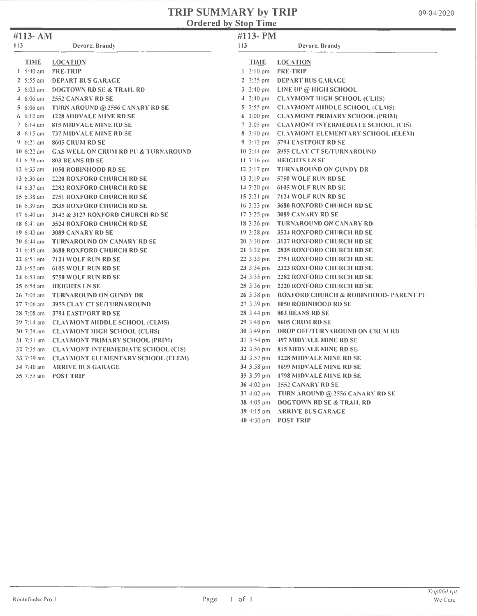# TRIP SUMMARY by TRIP<br>Ordered by Stop Time

| #113- AM                |                                                | #113-PM               |                                                  |  |
|-------------------------|------------------------------------------------|-----------------------|--------------------------------------------------|--|
| 113<br>Devore, Brandy   |                                                | 113<br>Devore, Brandy |                                                  |  |
| TIME                    | <b>LOCATION</b>                                | <b>TIME</b>           | <b>LOCATION</b>                                  |  |
| $1 - 5:40$ am           | <b>PRE-TRIP</b>                                |                       | $1 \cdot 2:10 \text{ pm}$ PRE-TRIP               |  |
| $2 - 5:55$ am           | <b>DEPART BUS GARAGE</b>                       |                       | 2 2:25 pm DEPART BUS GARAGE                      |  |
| 3 $6:03$ am             | <b>DOGTOWN RD SE &amp; TRAIL RD</b>            |                       | 3 2:40 pm LINE UP @ HIGH SCHOOL                  |  |
| $4.6:06$ am             | 2552 CANARY RD SE                              |                       | 4 2:40 pm CLAYMONT HIGH SCHOOL (CLIIS)           |  |
| $5.6:06$ am             | TURN AROUND @ 2556 CANARY RD SE                |                       | 5 2:55 pm CLAYMONT MIDDLE SCHOOL (CLMS)          |  |
| $6.6:12 \text{ am}$     | <b>1228 MIDVALE MINE RD SE</b>                 |                       | 6 3:00 pm CLAYMONT PRIMARY SCHOOL (PRIM)         |  |
| 7 $6:14$ am             | 815 MIDVALE MINE RD SE                         |                       | 7 3:05 pm CLAYMONT INTERMEDIATE SCHOOL (CIS)     |  |
| $8.6:15 \text{ am}$     | 737 MIDVALE MINE RD SE                         |                       | 8 3:10 pm CLAYMONT ELEMENTARY SCHOOL (ELEM)      |  |
| $9.6:21$ am             | 8605 CRUM RD SE                                |                       | 9 3:12 pm 3794 EASTPORT RD SE                    |  |
| $10.6:22$ am            | <b>GAS WELL ON CRUM RD PU &amp; TURNAROUND</b> |                       | 10 3:14 pm 3955 CLAY CT SE/TURNAROUND            |  |
| 11 6:28 am              | 803 BEANS RD SE                                |                       | 11.3:16 pm HEIGHTS LN SE                         |  |
| 12 6:33 am              | 1050 ROBINHOOD RD SE                           |                       | 12.3:17 pm TURNAROUND ON GUNDY DR                |  |
| 13 6:36 am              | 2220 RONFORD CHURCH RD SE                      |                       | 13 3:19 pm 5750 WOLF RUN RD SE                   |  |
| $14.6:37$ am            | <b>2282 ROXFORD CHURCH RD SE</b>               |                       | 14 3:20 pm 6105 WOLF RUN RD SE                   |  |
| 15 6:38 am              | 2751 ROXFORD CHURCH RD SE                      |                       | 15 3:21 pm 7124 WOLF RUN RD SE                   |  |
| 16 6:39 am              | <b>2835 ROXFORD CHURCH RD SE</b>               |                       | 16 3:23 pm 3680 ROXFORD CHURCH RD SE             |  |
| $17.6:40$ am            | <b>3142 &amp; 3127 ROXFORD CHURCH RD SE</b>    |                       | 17 3:25 pm 3089 CANARY RD SE                     |  |
| $186:41$ am             | <b>3524 ROXFORD CHURCH RD SE</b>               |                       | 18 3:26 pm TURNAROUND ON CANARY RD               |  |
| $196:33$ am             | 3089 CANARY RD SE                              |                       | 19 3:28 pm 3524 ROXFORD CHURCH RD SE             |  |
| $20\,6:44\,$ am         | TURNAROUND ON CANARY RD SE                     |                       | 20 3:30 pm 3127 ROXFORD CHURCH RD SE             |  |
| $21.6:45$ am            | <b>3680 ROXFORD CHURCH RD SE</b>               |                       | 21 3:32 pm 2835 ROXFORD CHURCH RD SE             |  |
| $226:51$ am             | 7124 WOLF RUN RD SE                            |                       | 22 3:33 pm 2751 RONFORD CHURCH RD SE             |  |
|                         | 23 6:52 am 6105 WOLF RUN RD SE                 |                       | 23 3:34 pm 2323 ROXFORD CHURCH RD SE             |  |
| $24.6:53$ am            | 5750 WOLF RUN RD SE                            |                       | 24 3:35 pm 2282 ROXFORD CHURCH RD SE             |  |
| $256:54$ am             | <b>HEIGHTS LN SE</b>                           |                       | 25 3:36 pm 2220 ROXFORD CHURCH RD SE             |  |
| $26\,7:05\,\mathrm{am}$ | <b>TURNAROUND ON GUNDY DR</b>                  |                       | 26 3:38 pm ROXFORD CHURCH & ROBINHOOD- PARENT PU |  |
| $27.7:06$ am            | <b>3955 CLAY CT SE/TURNAROUND</b>              |                       | 27 3:39 pm 1050 ROBINHOOD RD SE                  |  |
| 28 7:08 am              | 3794 EASTPORT RD SE                            |                       | 28 3:44 pm 803 BEANS RD SE                       |  |
| $29 \t 7:14 \t 2m$      | <b>CLAYMONT MIDDLE SCHOOL (CLMS)</b>           |                       | 29 3:48 pm 8605 CRUM RD SE                       |  |
|                         | 30 7:24 am CLAYMONT HIGH SCHOOL (CLHS)         |                       | 30 3:49 pm DROP OFF/TURNAROUND ON CRUM RD        |  |
|                         | 31 7:31 am CLAYMONT PRIMARY SCHOOL (PRIM)      |                       | 31 3:54 pm 497 MIDVALE MINE RD SE                |  |
|                         | 32 7:35 am CLAYMONT INTERMEDIATE SCHOOL (CIS)  |                       | 32 3:56 pm 815 MIDVALE MINE RD SE                |  |
| 33 7:39 am              | <b>CLAYMONT ELEMENTARY SCHOOL (ELEM)</b>       |                       | 33 3:57 pm 1228 MIDVALE MINE RD SE               |  |
| 34 7:40 am              | <b>ARRIVE BUS GARAGE</b>                       |                       | 34 3:58 pm 1699 MIDVALE MINE RD SE               |  |
| $35 \t 7:55$ am         | <b>POST TRIP</b>                               |                       | 35 3:59 pm 1798 MIDVALE MINE RD SE               |  |
|                         |                                                |                       | 36 4:02 pm 2552 CANARY RD SE                     |  |
|                         |                                                |                       | 37 4:02 pm TURN AROUND @ 2556 CANARY RD SE       |  |
|                         |                                                |                       | 38 4:05 pm DOGTOWN RD SE & TRAH. RD              |  |

- 39 4:15 pm ARRIVE BUS GARAGE
- 40 4:30 pm POST TRIP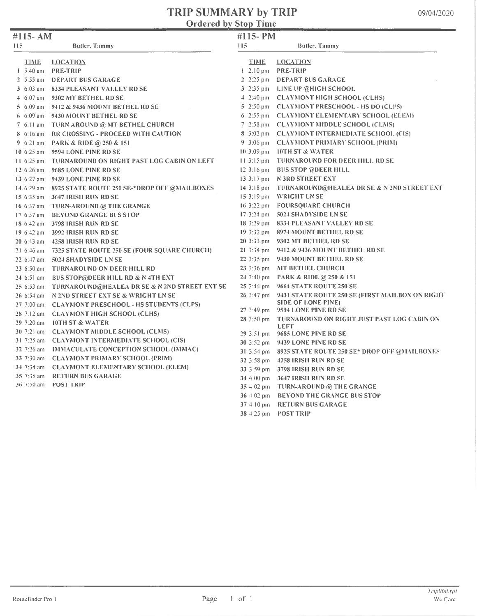#### TRIP SUMMARY by TRIP Ordered by Stop Time

| #115- AM      |                                                         | #115-PM             |                                                                  |
|---------------|---------------------------------------------------------|---------------------|------------------------------------------------------------------|
| 115           | Butler, Tammy                                           | 115                 | Butler, Tammy                                                    |
| <b>TIME</b>   | <b>LOCATION</b>                                         | <b>TIME</b>         | <b>LOCATION</b>                                                  |
| $1.5:40$ am   | <b>PRE-TRIP</b>                                         |                     | $1 \t2:10 \text{ pm}$ PRE-TRIP                                   |
| $2 - 5:55$ am | <b>DEPART BUS GARAGE</b>                                |                     | 2 2:25 pm DEPART BUS GARAGE                                      |
|               | 3 6:03 am 8334 PLEASANT VALLEY RD SE                    |                     | 3 2:35 pm LINE UP @HIGH SCHOOL                                   |
|               | 4 6:07 am 9302 MT BETHEL RD SE                          |                     | 4 2:40 pm CLAYMONT HIGH SCHOOL (CLHS)                            |
| $5.6:09$ am   | 9412 & 9436 MOUNT BETHEL RD SE                          |                     | 5 2:50 pm CLAYMONT PRESCHOOL - HS DO (CLPS)                      |
|               | 6 6:09 am 9430 MOUNT BETHEL RD SE                       |                     | 6 2:55 pm CLAYMONT ELEMENTARY SCHOOL (ELEM)                      |
|               | 7 6:11 am TURN AROUND @ MT BETHEL CHURCH                |                     | 7 2:58 pm CLAYMONT MIDDLE SCHOOL (CLMS)                          |
| 8 6:16 am     | <b>RR CROSSING - PROCEED WITH CAUTION</b>               |                     | 8 3:02 pm CLAYMONT INTERMEDIATE SCHOOL (CIS)                     |
| $9.6:21$ am   | PARK & RIDE @ 250 & 151                                 |                     | 9 3:06 pm CLAYMONT PRIMARY SCHOOL (PRIM)                         |
| $10.6:25$ am  | 9594 LONE PINE RD SE                                    |                     | 10 3:09 pm 10TH ST & WATER                                       |
| $11.6:25$ am  | <b>TURNAROUND ON RIGHT PAST LOG CABIN ON LEFT</b>       |                     | 11.3:15 pm TURNAROUND FOR DEER HILL RD SE                        |
| 12 6:26 am    | 9685 LONE PINE RD SE                                    |                     | 12 3:16 pm BUS STOP @DEER HILL                                   |
| $13.6:27$ am  | 9439 LONE PINE RD SE                                    |                     | 13 3:17 pm N 3RD STREET EXT                                      |
|               | 14 6:29 am 8925 STATE ROUTE 250 SE-*DROP OFF @MAILBOXES |                     | 14 3:18 pm TURNAROUND@HEALEA DR SE & N 2ND STREET EXT            |
|               | 15 6:35 am 3647 IRISH RUN RD SE                         |                     | 15 3:19 pm WRIGHT LN SE                                          |
| 16 6:37 am    | TURN-AROUND @ THE GRANGE                                |                     | 16 3:22 pm FOURSQUARE CHURCH                                     |
| 17 6:37 am    | <b>BEYOND GRANGE BUS STOP</b>                           |                     | 17 3:24 pm 5024 SHADYSIDE LN SE                                  |
|               | 18 6:42 am 3798 IRISH RUN RD SE                         |                     | 18 3:29 pm 8334 PLEASANT VALLEY RD SE                            |
| 19 $6:42$ am  | - 3992 IRISH RUN RD SE                                  |                     | 19 3:32 pm 8974 MOUNT BETHEL RD SE                               |
|               | 20 6:43 am 4258 IRISH RUN RD SE                         |                     | 20 3:33 pm 9302 MT BETHEL RD SE                                  |
|               | 21 6:46 am 7325 STATE ROUTE 250 SE (FOUR SQUARE CHURCH) |                     | 21 3:34 pm 9412 & 9436 MOUNT BETHEL RD SE                        |
| 22 6:47 am    | 5024 SHADYSIDE LN SE                                    |                     | 22 3:35 pm 9430 MOUNT BETHEL RD SE                               |
| $236:50$ am   | <b>TURNAROUND ON DEER HILL RD</b>                       |                     | 23 3:36 pm MT BETHEL CHURCH                                      |
|               | 24 6:51 am BUS STOP@DEER HILL RD & N 4TH EXT            |                     | 24 3:40 pm PARK & RIDE @ 250 & 151                               |
| $256:53$ am   | TURNAROUND@HEALEA DR SE & N 2ND STREET EXT SE           | $253:44 \text{ pm}$ | 9664 STATE ROUTE 250 SE                                          |
| $26.6:54$ am  | N 2ND STREET EXT SE & WRIGHT LN SE                      | 26 3:47 pm          | 9431 STATE ROUTE 250 SE (FIRST MAILBON ON RIGHT                  |
|               | 27 7:00 am CLAYMONT PRESCHOOL - HS STUDENTS (CLPS)      |                     | <b>SIDE OF LONE PINE)</b>                                        |
|               | 28 7:12 am CLAYMONT HIGH SCHOOL (CLHS)                  | $273:49$ pm         | 9594 LONE PINE RD SE                                             |
| $29$ 7:20 am  | <b>10TH ST &amp; WATER</b>                              | $283:50 \text{ pm}$ | <b>TURNAROUND ON RIGHT JUST PAST LOG CABIN ON</b><br><b>LEFT</b> |
|               | 30 7:21 am CLAYMONT MIDDLE SCHOOL (CLMS)                |                     | 29 3:51 pm 9685 LONE PINE RD SE                                  |
|               | 31 7:25 am CLAYMONT INTERMEDIATE SCHOOL (CIS)           |                     | 30 3:52 pm 9439 LONE PINE RD SE                                  |
|               | 32 7:26 am IMMACULATE CONCEPTION SCHOOL (IMMAC)         |                     | 31 3:54 pm 8925 STATE ROUTE 250 SE* DROP OFF @MAILBONES          |
|               | 33 7:30 am CLAYMONT PRIMARY SCHOOL (PRIM)               |                     | 32 3:58 pm 4258 IRISH RUN RD SE                                  |
|               | 34 7:34 am CLAYMONT ELEMENTARY SCHOOL (ELEM)            |                     | 33 3:59 pm 3798 IRISH RUN RD SE                                  |
| 35 7:35 am    | <b>RETURN BUS GARAGE</b>                                |                     | 34 4:00 pm 3647 IRISH RUN RD SE                                  |
| 36 $7:50$ am  | <b>POST TRIP</b>                                        |                     | 35 4:02 pm TURN-AROUND @ THE GRANGE                              |
|               |                                                         |                     | 36 4:02 pm BEYOND THE GRANGE BUS STOP                            |
|               |                                                         |                     | 37 4:10 pm RETURN BUS GARAGE                                     |
|               |                                                         |                     | 38 4:25 pm POST TRIP                                             |
|               |                                                         |                     |                                                                  |

 $\blacksquare$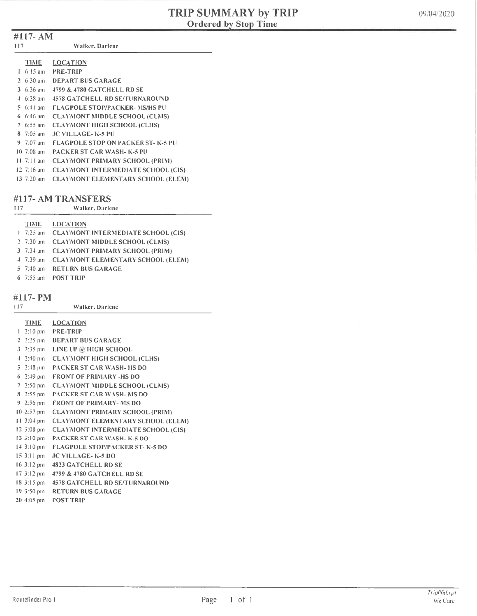#### #117- AM

117 Valker, Darlene

|   | TIME                | <b>LOCATION</b>                           |
|---|---------------------|-------------------------------------------|
| L | $6.15 \text{ am}$   | <b>PRE-TRIP</b>                           |
|   | 2 $6:30 \text{ am}$ | DEPART BUS GARAGE                         |
|   | 3 $6:36$ am         | 4799 & 4780 GATCHELL RD SE                |
|   | $4.6:38 \text{ am}$ | <b>4578 GATCHELL RD SE/TURNAROUND</b>     |
|   | 5 6:41 am           | <b>FLAGPOLE STOP/PACKER- MS/HS PU</b>     |
|   | 6 6:46 am           | <b>CLAYMONT MIDDLE SCHOOL (CLMS)</b>      |
|   | $7.6:55$ am         | <b>CLAYMONT HIGH SCHOOL (CLHS)</b>        |
|   | $8 - 7:05$ am       | JC VILLAGE- K-5 PU                        |
|   | 9 7:07 am           | <b>FLAGPOLE STOP ON PACKER ST- K-5 PU</b> |
|   | $10^{7}$ :08 am     | <b>PACKER ST CAR WASH- K-5 PH</b>         |
|   | 11 $7:11$ am        | <b>CLAYMONT PRIMARY SCHOOL (PRIM)</b>     |
|   | $12 \t7:16 \t{am}$  | <b>CLAYMONT INTERMEDIATE SCHOOL (CIS)</b> |
|   | $13 \t 7:20 \t am$  | <b>CLAYMONT ELEMENTARY SCHOOL (ELEM)</b>  |

#### #117- AM TRANSFERS

| 117 | Walker, Darlene |                 |  |
|-----|-----------------|-----------------|--|
|     | <b>TIME</b>     | <b>LOCATION</b> |  |
|     |                 |                 |  |

|  | 1 7:25 am CLAYMONT INTERMEDIATE SCHOOL (CIS) |
|--|----------------------------------------------|
|  | 2 7:30 am CLAYMONT MIDDLE SCHOOL (CLMS)      |
|  | 3 7:34 am CLAYMONT PRIMARY SCHOOL (PRIM)     |
|  | 4 7:39 am CLAYMONT ELEMENTARY SCHOOL (ELEMP  |
|  | 5 7:40 am RETURN BUS GARAGE                  |

6 7:55 am POST TRIP

#### $\frac{1}{4}$  11  $\frac{1}{4}$  PM

| 117 | #117- PM                   | <b>Walker</b> , Darlene                   |
|-----|----------------------------|-------------------------------------------|
|     | TIME.                      | <b>LOCATION</b>                           |
|     | $1 - 2:10$ pm              | <b>PRE-TRIP</b>                           |
|     |                            | 2 2:25 pm DEPART BUS GARAGE               |
|     | $3-2:35$ pm                | LINE UP @ HIGH SCHOOL                     |
|     | $4-2:40$ pm                | <b>CLAYMONT HIGH SCHOOL (CLHS)</b>        |
|     | $5\frac{2:48}{10}$ pm      | <b>PACKER ST CAR WASH- HS DO</b>          |
|     | $6\,2:49$ pm               | <b>FRONT OF PRIMARY-HS DO</b>             |
|     | $7.2:50 \text{ pm}$        | <b>CLAYMONT MIDDLE SCHOOL (CLMS)</b>      |
|     | $8\,2:55\,\mathrm{pm}$     | <b>PACKER ST CAR WASH-MS DO</b>           |
|     | $9 - 2:56$ pm              | <b>FRONT OF PRIMARY-MS DO</b>             |
|     |                            | 10.2:57 pm CLAYMONT PRIMARY SCHOOL (PRIM) |
|     | $11.3:04 \text{ pm}$       | <b>CLAYMONT ELEMENTARY SCHOOL (ELEM)</b>  |
|     | $12,3:08$ pm               | <b>CLAYMONT INTERMEDIATE SCHOOL (CIS)</b> |
|     | $13 \cdot 3:10 \text{ pm}$ | <b>PACKER ST CAR WASH- K-5 DO</b>         |
|     | $14.3:10 \text{ pm}$       | <b>FLAGPOLE STOP/PACKER ST-K-5 DO</b>     |
|     | $15.3:11 \text{ pm}$       | JC VILLAGE- K-5 DO                        |
|     | $16.3:12 \text{ pm}$       | <b>4823 GATCHELL RD SE</b>                |
|     | $17.3:12 \text{ pm}$       | 4799 & 4780 GATCHELL RD SE                |
|     | $18\,315\,\text{pm}$       | <b>4578 GATCHELL RD SE/TURNAROUND</b>     |
|     | $19.3:50 \text{ pm}$       | <b>RETURN BUS GARAGE</b>                  |

20 4:05 pm POSI TRIP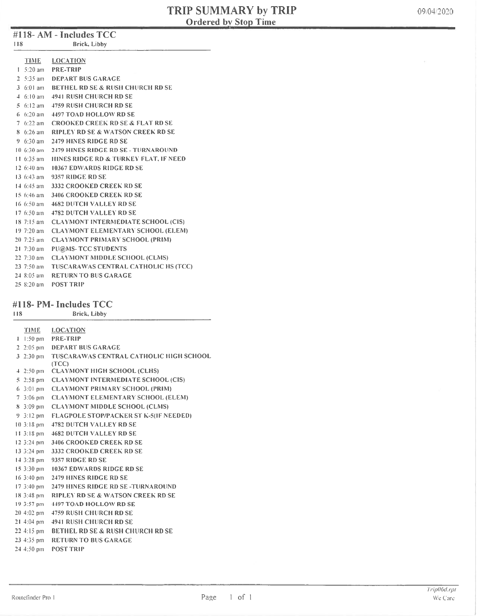### #118- AM - Includes TCC

| 118 | Brick, Libby |  |
|-----|--------------|--|
|     |              |  |

| <b>TIME</b>               | <b>LOCATION</b>                                |
|---------------------------|------------------------------------------------|
|                           | $1.5:20$ am PRE-TRIP                           |
|                           | 2 5:35 am DEPART BUS GARAGE                    |
|                           | 3 6:01 am BETHEL RD SE & RUSH CHURCH RD SE     |
| $4.6:10 \text{ am}$       | <b>4941 RUSH CHURCH RD SE</b>                  |
|                           | 5 6:12 am 4759 RUSH CHURCH RD SE               |
| $6.6:20 \text{ am}$       | <b>4497 TOAD HOLLOW RD SE</b>                  |
|                           | 7 6:22 am CROOKED CREEK RD SE & FLAT RD SE     |
|                           | 8 6:26 am RIPLEY RD SE & WATSON CREEK RD SE    |
|                           | 9 6:30 am 2479 HINES RIDGE RD SE               |
|                           | 10 6:30 am 2479 HINES RIDGE RD SE - TURNAROUND |
| $11.6:35$ am              | HINES RIDGE RD & TURKEY FLAT, IF NEED          |
| $12.6:40$ am              | <b>10367 EDWARDS RIDGE RD SE</b>               |
| $13.6:43$ am              | 9357 RIDGE RD SE                               |
| $14.6:45$ am              | <b>3332 CROOKED CREEK RD SE</b>                |
| $15.6:46 \text{ am}$      | <b>3406 CROOKED CREEK RD SE</b>                |
| $16.6:50 \text{ am}$      | <b>4682 DUTCH VALLEY RD SE</b>                 |
| $17.6:50$ am              | <b>4782 DUTCH VALLEY RD SE</b>                 |
| $18$ 7:15 am              | <b>CLAYMONT INTERMEDIATE SCHOOL (CIS)</b>      |
| $19.7:20$ am              | <b>CLAYMONT ELEMENTARY SCHOOL (ELEM)</b>       |
| $20$ 7:25 am              | <b>CLAYMONT PRIMARY SCHOOL (PRIM)</b>          |
| $21 \, 7:30 \, \text{am}$ | <b>PU@MS-TCC STUDENTS</b>                      |
| $22 \t 7:30 \t 3m$        | <b>CLAYMONT MIDDLE SCHOOL (CLMS)</b>           |
| $23 \t 7:50 \t am$        | TUSCARAWAS CENTRAL CATHOLIC HS (TCC)           |
| 24 8:05 am                | <b>RETURN TO BUS GARAGE</b>                    |
| $258:20$ am               | POST TRIP                                      |

#### #118- PM- Includes TCC

| 118                     | Brick, Libby                                  |
|-------------------------|-----------------------------------------------|
| <b>TIME</b>             | <b>LOCATION</b>                               |
| $1:50$ pm<br>1          | PRE-TRIP                                      |
| $2, 2:05 \text{ pm}$    | <b>DEPART BUS GARAGE</b>                      |
| $3\;2:30\;{\rm pm}$     | TUSCARAWAS CENTRAL CATHOLIC HIGH SCHOOL       |
|                         | (TCC)                                         |
| $4.2:50 \text{ pm}$     | <b>CLAYMONT HIGH SCHOOL (CLHS)</b>            |
| $5\,2:58\,\mathrm{pm}$  | <b>CLAYMONT INTERMEDIATE SCHOOL (CIS)</b>     |
| $6.3:01 \text{ pm}$     | <b>CLAYMONT PRIMARY SCHOOL (PRIM)</b>         |
| $7\,3:06 \,\mathrm{pm}$ | <b>CLAYMONT ELEMENTARY SCHOOL (ELEM)</b>      |
| $8.3:09 \text{ pm}$     | <b>CLAYMONT MIDDLE SCHOOL (CLMS)</b>          |
| $9.3:12 \text{ pm}$     | <b>FLAGPOLE STOP/PACKER ST K-5(IF NEEDED)</b> |
| $10.3:18 \text{ pm}$    | <b>4782 DUTCH VALLEY RD SE</b>                |
| $11.3:18 \text{ pm}$    | <b>4682 DUTCH VALLEY RD SE</b>                |
| $12.3:24 \text{ pm}$    | <b>3406 CROOKED CREEK RD SE</b>               |
| $13.3:24 \text{ pm}$    | 3332 CROOKED CREEK RD SE                      |
| $14.3:28 \text{ pm}$    | 9357 RIDGE RD SE                              |
| $15.3:30 \text{ pm}$    | <b>10367 EDWARDS RIDGE RD SE</b>              |
| $16 \frac{3:40}{1}$ pm  | <b>2479 HINES RIDGE RD SE</b>                 |
| $17.3:40 \text{ pm}$    | 2479 HINES RIDGE RD SE-TURNAROUND             |
| $18.3:48 \text{ pm}$    | <b>RIPLEY RD SE &amp; WATSON CREEK RD SE</b>  |
| $19.3:57 \text{ pm}$    | <b>4497 TOAD HOLLOW RD SE</b>                 |
| $20 - 4:02$ pm          | <b>4759 RUSH CHURCH RD SE</b>                 |
| $21 - 4:04$ pm          | <b>4941 RUSH CHURCH RD SE</b>                 |
| $224:15 \text{ pm}$     | <b>BETHEL RD SE &amp; RUSH CHURCH RD SE</b>   |
| $234:35 \text{ pm}$     | <b>RETURN TO BUS GARAGE</b>                   |
| 24 4:50 pm              | <b>POST TRIP</b>                              |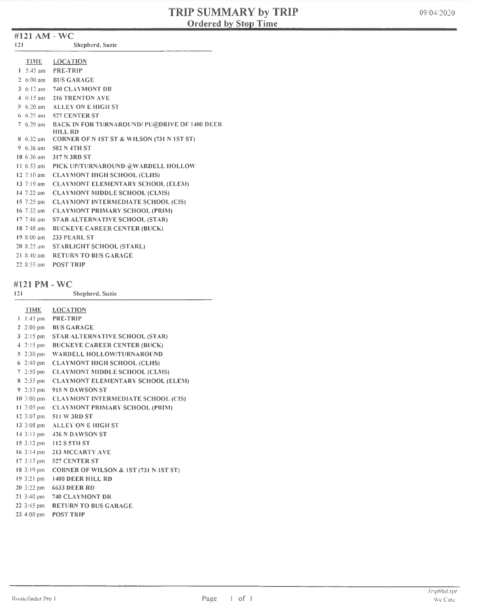#### #121 AM -WC

| TIME.                     | <b>LOCATION</b>                                         |
|---------------------------|---------------------------------------------------------|
|                           | $1.5:45$ am PRE-TRIP                                    |
| 2 $6:00$ am               | <b>BUS GARAGE</b>                                       |
|                           | 3 6:12 am 740 CLAYMONT DR                               |
|                           | 4 6:15 am 216 TRENTON AVE                               |
|                           | 5 6:20 am ALLEY ON E HIGH ST                            |
|                           | 6 6:25 am 527 CENTER ST                                 |
|                           | 7 6:29 am BACK IN FOR TURNAROUND/ PU@DRIVE OF 1400 DEER |
|                           | HILL RD                                                 |
|                           | 8 6:32 am CORNER OF N IST ST & WILSON (731 N IST ST)    |
|                           | 9 6:36 am 502 N 4TH ST                                  |
|                           | 10 6:36 am 317 N 3RD ST                                 |
|                           | 11 6:53 am PICK UP/TURNAROUND @WARDELL HOLLOW           |
| $12 \, 7:10 \, \text{am}$ | <b>CLAYMONT HIGH SCHOOL (CLHS)</b>                      |
| $13 \t7:19 am$            | <b>CLAYMONT ELEMENTARY SCHOOL (ELEM)</b>                |
| $14.7:22$ am              | <b>CLAYMONT MIDDLE SCHOOL (CLMS)</b>                    |
| $15 \t 7:25$ am           | <b>CLAYMONT INTERMEDIATE SCHOOL (CIS)</b>               |
| $16 \, 7:32 \, \text{am}$ | <b>CLAYMONT PRIMARY SCHOOL (PRIM)</b>                   |
| $17.7:46$ am              | STAR ALTERNATIVE SCHOOL (STAR)                          |
| $18\,7:48\,\mathrm{am}$   | <b>BUCKEYE CAREER CENTER (BUCK)</b>                     |
|                           | 19 8:00 am 233 PEARL ST                                 |
|                           | 20 8:25 am STARLIGHT SCHOOL (STARL)                     |
| $218:40$ am               | RETURN TO BUS GARAGE                                    |

22 8.55 am POST TRIP

#### #121 PM -WC

121 Shepherd, Suzie

|            | TIME LOCATION                                    |
|------------|--------------------------------------------------|
|            | $\pm$ 1:45 pm PRE-TRIP                           |
|            | 2 2:00 pm BUS GARAGE                             |
|            | 3 2:15 pm STAR ALTERNATIVE SCHOOL (STAR)         |
|            | 4 2:15 pm BUCKEYE CAREER CENTER (BUCK)           |
|            | 5 2:30 pm WARDELL HOLLOW/TURNAROUND              |
|            | 6 2:40 pm CLAYMONT HIGH SCHOOL (CLHS)            |
|            | 7 2:50 pm CLAYMONT MIDDLE SCHOOL (CLMS)          |
|            | 8 2:55 pm CLAYMONT ELEMENTARY SCHOOL (ELEM)      |
|            | 9 2:57 pm 915 N DAWSON ST                        |
|            | 10 3:00 pm CLAYMONT INTERMEDIATE SCHOOL (CIS)    |
|            | 11 3:05 pm CLAYMONT PRIMARY SCHOOL (PRIM)        |
|            | 12 3:07 pm 511 W 3RD ST                          |
|            | 13 3:08 pm ALLEY ON E HIGH ST                    |
|            | 14.3:11 pm 426 N DAWSON ST                       |
|            | 15.3:12 pm 112 S 5TH ST                          |
|            | 16.3:14 pm 213 MCCARTY AVE                       |
|            | 17 3:17 pm 527 CENTER ST                         |
|            | 18 3:19 pm CORNER OF WILSON & 1ST (731 N 1ST ST) |
|            | 19 3:21 pm 1400 DEER HILL RD                     |
|            | 20 3:22 pm 6633 DEER RD                          |
|            | 21 3:40 pm 740 CLAYMONT DR                       |
|            | 22 3:45 pm RETURN TO BUS GARAGE                  |
| 23 4:00 pm | <b>POST TRIP</b>                                 |
|            |                                                  |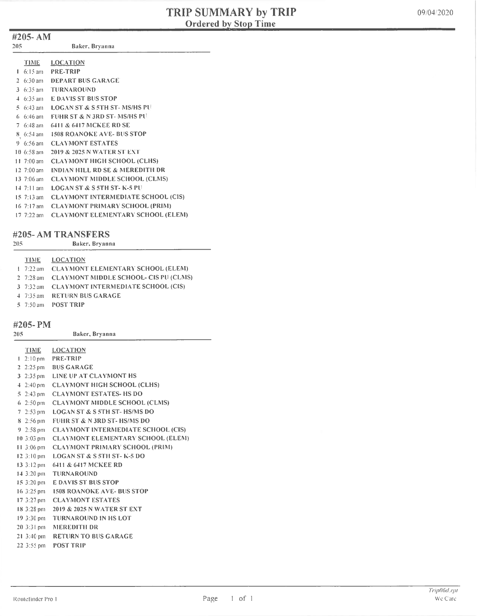#### #205- AM

| <b>TIME</b>          | LOCATION                                  |
|----------------------|-------------------------------------------|
|                      | 1 6:15 am PRE-TRIP                        |
|                      | 2 6:30 am DEPART BUS GARAGE               |
| 3 $6:35$ am          | <b>TURNAROUND</b>                         |
| $4.6:35$ am          | <b>E DAVIS ST BUS STOP</b>                |
| $5.6:43$ am          | <b>LOGAN ST &amp; S 5TH ST-MS/HS PU</b>   |
| $6.6:46 \text{ am}$  | <b>FUHR ST &amp; N 3RD ST-MS/HS PU</b>    |
| $7\;6:48$ am         | <b>6411 &amp; 6417 MCKEE RD SE</b>        |
| $8 \t 6:54$ am       | <b>1508 ROANOKE AVE-BUS STOP</b>          |
| 9 $6:56$ am          | <b>CLAYMONT ESTATES</b>                   |
| $10.6:58$ am         | 2019 & 2025 N WATER ST EXT                |
| 11 $7:00$ am         | <b>CLAYMONT HIGH SCHOOL (CLHS)</b>        |
| $12, 7:00$ am        | INDIAN HILL RD SE & MEREDITH DR           |
| 13 $7:06$ am         | <b>CLAYMONT MIDDLE SCHOOL (CLMS)</b>      |
| $14 \, 7:11$ am      | <b>LOGAN ST &amp; S 5TH ST-K-5 PU</b>     |
| $15 \t7:13$ am       | <b>CLAYMONT INTERMEDIATE SCHOOL (CIS)</b> |
| $16 \frac{7!}{7}$ am | <b>CLAYMONT PRIMARY SCHOOL (PRIM)</b>     |
| $17.7:22$ am         | <b>CLAYMONT ELEMENTARY SCHOOL (ELEM)</b>  |

#### #205- AM TRANSFERS

205 Baker, Bryanna

|  | TIME LOCATION                                   |
|--|-------------------------------------------------|
|  | 1 7:22 am CLAYMONT ELEMENTARY SCHOOL (ELEM)     |
|  | 2 7:28 am CLAYMONT MIDDLE SCHOOL- CIS PU (CLMS) |
|  | 3 7:32 am CLAYMONT INTERMEDIATE SCHOOL (CIS)    |
|  | 4 7:35 am RETURN BUS GARAGE                     |
|  | $5-7:50$ am POST TRIP                           |
|  |                                                 |

#### #205- PM

| 205                            | Baker, Bryanna                            |
|--------------------------------|-------------------------------------------|
| <b>TIME</b>                    | <b>LOCATION</b>                           |
| $1 \cdot 2:10 \text{ pm}$      | <b>PRE-TRIP</b>                           |
| 2 $2:25 \text{ pm}$            | <b>BUS GARAGE</b>                         |
| $3\,2:35 \, \text{pm}$         | LINE UP AT CLAYMONT HS                    |
| $4-2:40 \text{ pm}$            | <b>CLAYMONT HIGH SCHOOL (CLHS)</b>        |
| $5\,2:43$ pm                   | <b>CLAYMONT ESTATES-HS DO</b>             |
| 6 $2:50 \text{ pm}$            | <b>CLAYMONT MIDDLE SCHOOL (CLMS)</b>      |
| $7-2:53$ pm                    | <b>LOGAN ST &amp; S 5TH ST-HS/MS DO</b>   |
| $8\,2:56\,\mathrm{pm}$         | <b>FUHR ST &amp; N 3RD ST-HS/MS DO</b>    |
| $9 - 2:58$ pm                  | <b>CLAYMONT INTERMEDIATE SCHOOL (CIS)</b> |
| $10.3:03 \text{ pm}$           | <b>CLAYMONT ELEMENTARY SCHOOL (ELEM)</b>  |
| $11.3:06 \text{ pm}$           | <b>CLAYMONT PRIMARY SCHOOL (PRIM)</b>     |
| $12.3:10 \text{ pm}$           | <b>LOGAN ST &amp; S 5TH ST-K-5 DO</b>     |
| 13 3:12 pm                     | 6411 & 6417 MCKEE RD                      |
| $14.3:20 \text{ pm}$           | <b>TURNAROUND</b>                         |
| 15 3:20 pm                     | <b>E DAVIS ST BUS STOP</b>                |
| $16.3:25 \text{ pm}$           | <b>1508 ROANOKE AVE-BUS STOP</b>          |
| $17.3:27 \text{ pm}$           | <b>CLAYMONT ESTATES</b>                   |
| 18 3:28 pm                     | 2019 & 2025 N WATER ST EXT                |
| $19.3:30 \text{ pm}$           | <b>TURNAROUND IN HS LOT</b>               |
| 20 3:31 pm                     | <b>MEREDITH DR</b>                        |
| $21 \frac{3:40 \text{ pm}}{2}$ | <b>RETURN TO BUS GARAGE</b>               |
| 22 3:55 pm                     | POST TRIP                                 |